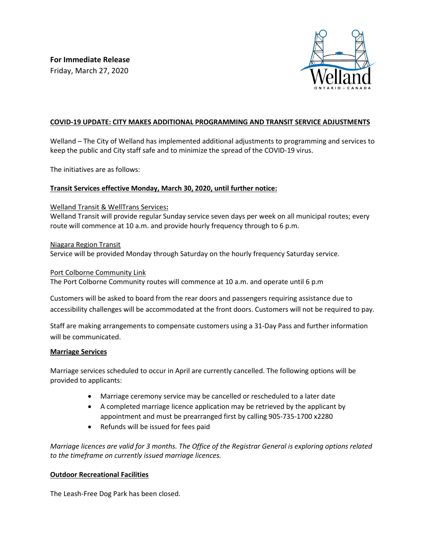

# **COVID-19 UPDATE: CITY MAKES ADDITIONAL PROGRAMMING AND TRANSIT SERVICE ADJUSTMENTS**

Welland – The City of Welland has implemented additional adjustments to programming and services to keep the public and City staff safe and to minimize the spread of the COVID-19 virus.

The initiatives are as follows:

# **Transit Services effective Monday, March 30, 2020, until further notice:**

#### Welland Transit & WellTrans Services**:**

Welland Transit will provide regular Sunday service seven days per week on all municipal routes; every route will commence at 10 a.m. and provide hourly frequency through to 6 p.m.

Niagara Region Transit Service will be provided Monday through Saturday on the hourly frequency Saturday service.

#### Port Colborne Community Link

The Port Colborne Community routes will commence at 10 a.m. and operate until 6 p.m

Customers will be asked to board from the rear doors and passengers requiring assistance due to accessibility challenges will be accommodated at the front doors. Customers will not be required to pay.

Staff are making arrangements to compensate customers using a 31-Day Pass and further information will be communicated.

## **Marriage Services**

Marriage services scheduled to occur in April are currently cancelled. The following options will be provided to applicants:

- Marriage ceremony service may be cancelled or rescheduled to a later date
- A completed marriage licence application may be retrieved by the applicant by appointment and must be prearranged first by calling 905-735-1700 x2280
- Refunds will be issued for fees paid

*Marriage licences are valid for 3 months. The Office of the Registrar General is exploring options related to the timeframe on currently issued marriage licences.* 

## **Outdoor Recreational Facilities**

The Leash-Free Dog Park has been closed.